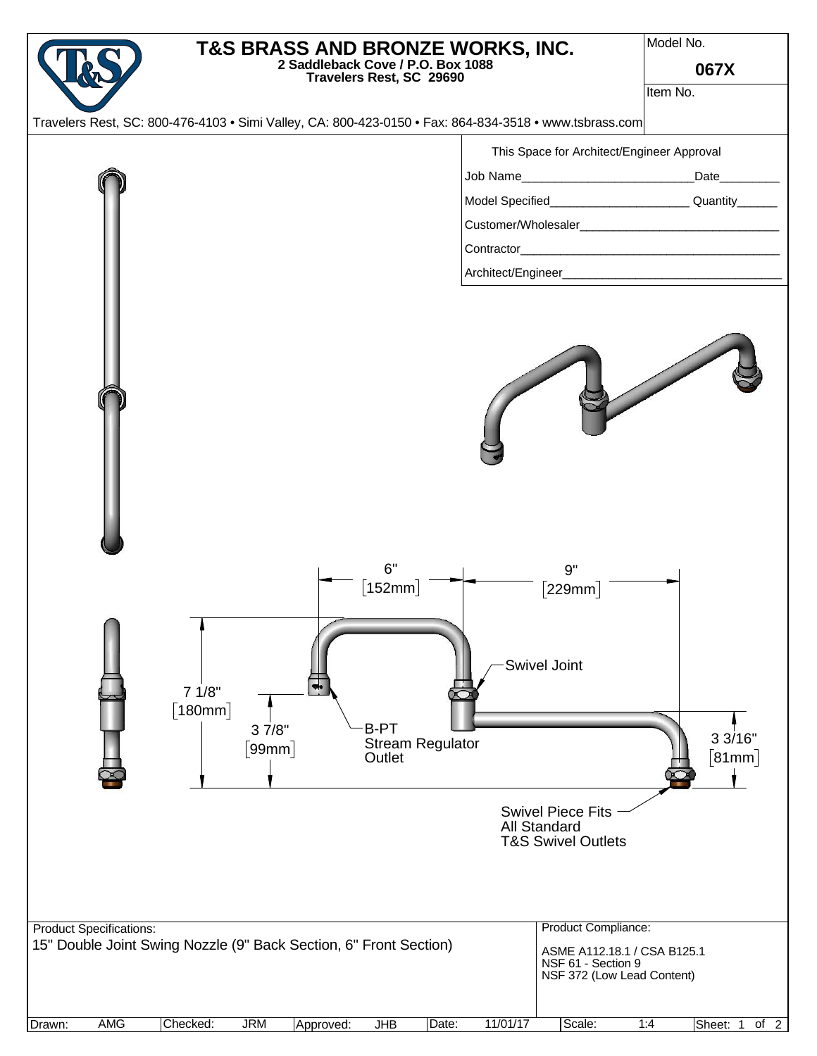